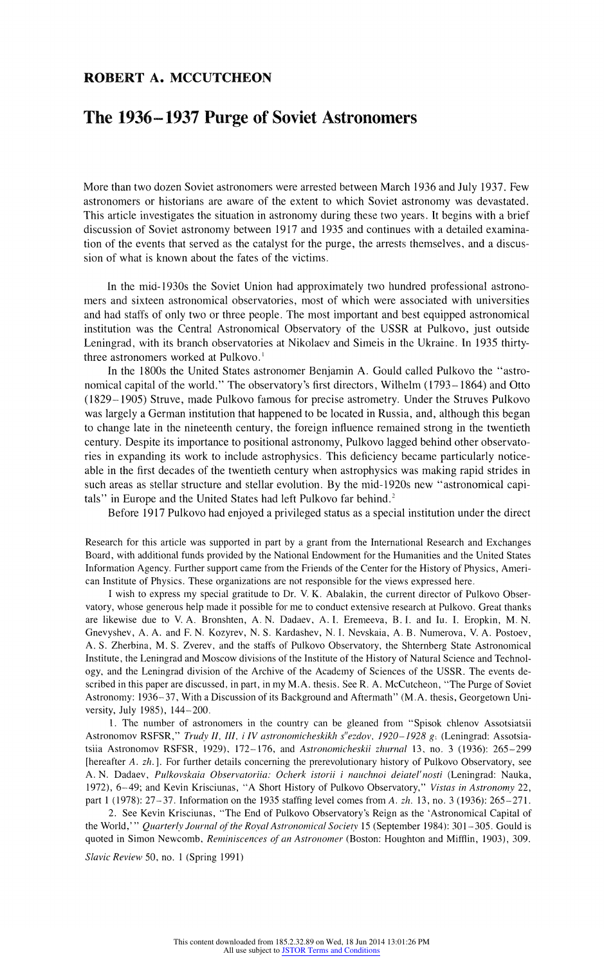## ROBERT A. MCCUTCHEON

## The 1936-1937 Purge of Soviet Astronomers

More than two dozen Soviet astronomers were arrested between March 1936 and July 1937. Few astronomers or historians are aware of the extent to which Soviet astronomy was devastated. This article investigates the situation in astronomy during these two years. It begins with a brief discussion of Soviet astronomy between 1917 and 1935 and continues with a detailed examination of the events that served as the catalyst for the purge, the arrests themselves, and a discussion of what is known about the fates of the victims.

In the mid-1930s the Soviet Union had approximately two hundred professional astronomers and sixteen astronomical observatories, most of which were associated with universities and had staffs of only two or three people. The most important and best equipped astronomical institution was the Central Astronomical Observatory of the USSR at Pulkovo, just outside Leningrad, with its branch observatories at Nikolaev and Simeis in the Ukraine. In 1935 thirtythree astronomers worked at Pulkovo.'

In the 1800s the United States astronomer Benjamin A. Gould called Pulkovo the "astronomical capital of the world." The observatory's first directors, Wilhelm (1793- 1864) and Otto (1829-1905) Struve, made Pulkovo famous for precise astrometry. Under the Struves Pulkovo was largely aGerman institution that happened to be located in Russia, and, although this began to change late in the nineteenth century, the foreign influence remained strong in the twentieth century. Despite its importance to positional astronomy, Pulkovo lagged behind other observatories in expanding its work to include astrophysics. This deficiency became particularly noticeable in the first decades of the twentieth century when astrophysics was making rapid strides in such areas as stellar structure and stellar evolution. By the mid-1920s new "astronomical capitals" in Europe and the United States had left Pulkovo far behind.<sup>2</sup>

Before 1917 Pulkovo had enjoyed a privileged status as a special institution under the direct

Research for this article was supported in part by a grant from the International Research and Exchanges Board, with additional funds provided by the National Endowment for the Humanities and the United States Information Agency. Further support came from the Friends of the Center for the History of Physics, American Institute of Physics. These organizations are not responsible for the views expressed here.

I wish to express my special gratitude to Dr. V. K. Abalakin, the current director of Pulkovo Observatory, whose generous help made it possible for me to conduct extensive research at Pulkovo. Great thanks are likewise due to V. A. Bronshten, A. N. Dadaev, A. I. Eremeeva, B. I. and Iu. I. Eropkin, M. N. Gnevyshev, A. A. and F. N. Kozyrev, N. S. Kardashev, N. I. Nevskaia, A. B. Numerova. V. A. Postoev, A. S. Zherbina, M. S. Zverev, and the staffs of Pulkovo Observatory, the Shternberg State Astronomical Institute, the Leningrad and Moscow divisions of the Institute of the History of Natural Science and Technology, and the Leningrad division of the Archive of the Academy of Sciences of the USSR. The events described in this paper are discussed, in part, in my M.A. thesis. See R. A. McCutcheon, "The Purge of Soviet Astronomy: 1936-37, With a Discussion of its Background and Aftermath" (M.A. thesis, Georgetown University, July 1985), 144-200.

1. The number of astronomers in the country can be gleaned from "Spisok chlenov Assotsiatsii Astronomov RSFSR," Trudy II, III, i IV astronomicheskikh s"ezdov, 1920-1928 g: (Leningrad: Assotsiatsiia Astronomov RSFSR, 1929), 172-176, and Astronomicheskii zhurnal 13, no. 3 (1936): 265-299 [hereafter A. zh.]. For further details concerning the prerevolutionary history of Pulkovo Observatory, see A. N. Dadaev, Pulkovskaia Observatoriia: Ocherk istorii i nauchnoi deiatel'nosti (Leningrad: Nauka, 1972), 6-49; and Kevin Krisciunas, "A Short History of Pulkovo Observatory," Vistas in Astronomy 22, part 1 (1978): 27-37. Information on the 1935 staffing level comes from A. zh. 13, no. 3 (1936): 265-27 1.

2. See Kevin Krisciunas, "The End of Pulkovo Observatory's Reign as the 'Astronomical Capital of the World,'" Quarterly Journal of the Royal Astronomical Society 15 (September 1984): 301-305. Gould is quoted in Simon Newcomb, Reminiscences of an Astronomer (Boston: Houghton and Mifflin, 1903), 309.

Slavic Review 50, no. 1 (Spring 1991)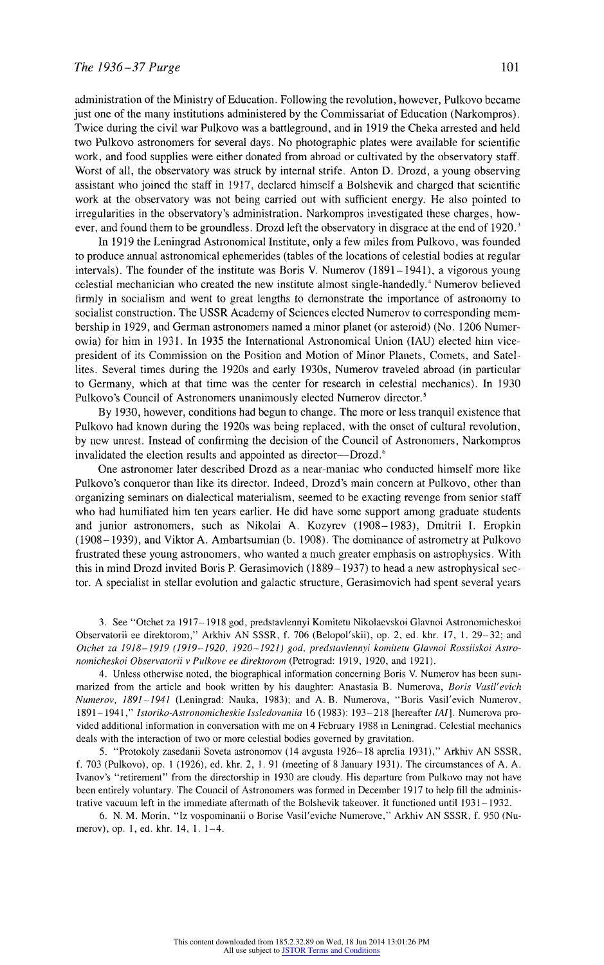administration of the Ministry of Education. Following the revolution, however, Pulkovo became just one of the many institutions administered by the Commissariat of Education (Narkompros). Twice during the civil war Pulkovo was a battleground, and in 1919 the Cheka arrested and held two Pulkovo astronomers for several davs. No photographic plates were available for scientific work, and food supplies were either donated from abroad or cultivated by the observatory staff. Worst of all, the observatory was struck by internal strife. Anton D. Drozd, a young observing assistant who joined the staff in 1917, declared himself a Bolshevik and charged that scientific work at the observatory was not being carried out with sufficient energy. He also pointed to irregularities in the observatory's administration. Narkompros investigated these charges, however, and found them to be groundless. Drozd left the observatory in disgrace at the end of 1920.<sup>3</sup>

In 1919 the Leningrad Astronomical Institute, only a few miles from Pulkovo, was founded to produce annual astronomical ephemerides (tables of the locations of celestial bodies at regular intervals). The founder of the institute was Boris V. Numerov (1891-1941), a vigorous young celestial mechanician who created the new institute almost single-handedly.4 Numerov believed firmly in socialism and went to great lengths to demonstrate the importance of astronomy to socialist construction. The USSR Academy of Sciences elected Numerov to corresponding membership in 1929, and German astronomers named a minor planet (or asteroid) (No. 1206 Nunmerowia) for him in 1931. In 1935 the International Astronomical Union (IAU) elected him vicepresident of its Commission on the Position and Motion of Minor Planets, Comets, and Satellites. Several times during the 1920s and early 1930s, Numerov traveled abroad (in particular to Germany, which at that time was the center for research in celestial mechanics). In 1930 Pulkovo's Council of Astronomers unanimously elected Numerov director.<sup>5</sup>

By 1930, however, conditions had begun to change. The more or less tranqulil existence that Pulkovo had known during the 1920s was being replaced, with the onset of cultural revolution, by new unrest. Instead of confirming the decision of the Council of Astronomers, Narkompros invalidated the election results and appointed as director-Drozd.<sup>6</sup>

One astronomer later described Drozd as a near-maniac who conducted himself more like Pulkovo's conqueror than like its director. Indeed, Drozd's main concern at Pulkovo, other than organizing seminars on dialectical materialism, seemed to be exacting revenge from senior staff who had humiliated him ten years earlier. He did have some support among graduate students and junior astronomers, such as Nikolai A. Kozyrev (1908-1983), Dmitrii I. Eropkin (1908-1939), and Viktor A. Ambartsumian (b. 1908). The dominiance of astrometry at Pulkovo frustrated these young astronomers, who wanted amuch greater emphasis on astrophysics. With this in mind Drozd invited Boris P. Gerasimovich  $(1889 - 1937)$  to head a new astrophysical sector. A specialist in stellar evolution and galactic structure, Gerasimovich ad spent several years

3. See "Otchet za 1917- 1918 god, predstavlennyi Komitetu Nikolaevskoi Glavnoi Astronomicheskoi Observatorii ee direktorom," Arkhiv AN SSSR. f. 706 (Belopol'skii), op. 2, ed. khr. 17, 1. 29-32; and Otchet za 1918-1919 (1919-1920, 1920-1921) god, predstavlennyi komitetu Glavnoi Rossiiskoi Astronomicheskoi Observatorii v Pulkove ee direktorom (Petrograd: 1919, 1920, and 1921).

4. Unless otherwise noted, the biographical information concerning Boris V. Numerov has been summarized from the article and book written by his daughter: Anastasia B. Numerova, Boris Vasil'evich Numerov, 1891-1941 (Leningrad: Nauka, 1983); and A. B. Numerova, "Boris Vasil'evich Numerov, 1891-1941," Istoriko-Astronomicheskie Issledovaniia 16 (1983): 193-218 [hereafter IAI]. Numerova provided additional information in conversation with me on 4 February 1988 in Leningrad. Celestial mechanics deals with the interaction of two or more celestial bodies governed by gravitation.

5. "Protokoly zasedanii Soveta astronomov (14 avgusta 1926-18 aprelia 1931)," Arkhiv AN SSSR, f. 703 (Pulkovo), op. 1 (1926), ed. khr. 2, J. 91 (meeting of 8 Janiuary 1931). The circumstances of A. A. Ivanov's "retirement" from the directorship in 1930 are cloudy. His departure from Pulkovo may not have been entirely voluntary. The Council of Astronomers was formed in December 1917 to help fill the administrative vacuum left in the immediate aftermath of the Bolshevik takeover. It functioned until 1931–1932.

6. N. M. Morin, "Iz vospominaniii o Borise Vasil'eviche Numerove,' Arkhiv AN SSSR, f. 950 (Numerov), op. 1, ed. khr. 14, 1. 1-4.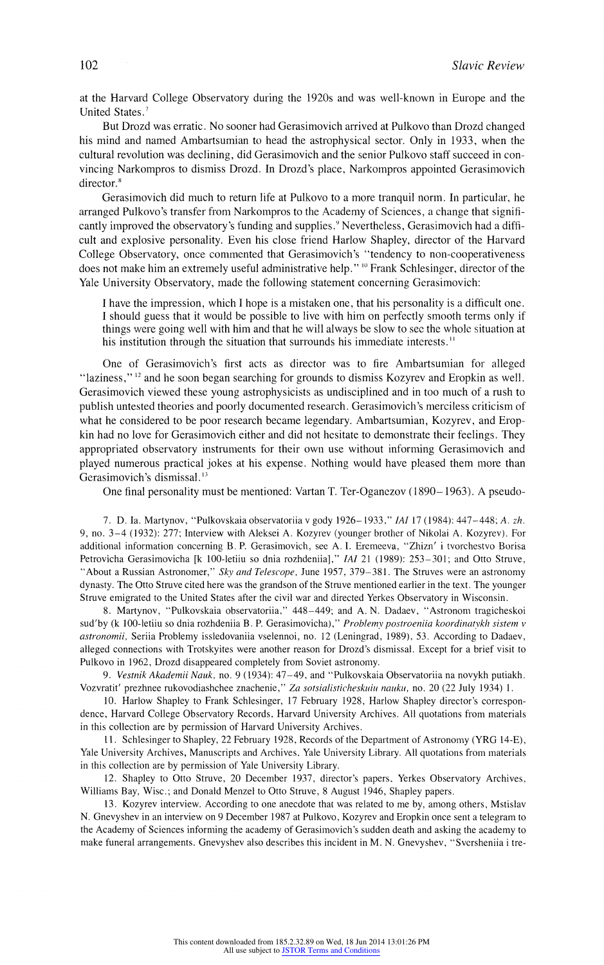at the Harvard College Observatory during the 1920s and was well-known in Europe and the United States.<sup>7</sup>

But Drozd was erratic. No sooner had Gerasimovich arrived at Pulkovo than Drozd changed his mind and named Ambartsumian to head the astrophysical sector. Only in 1933, when the cultural revolution was declining, did Gerasimovich and the senior Pulkovo staff succeed in convincing Narkompros to dismiss Drozd. In Drozd's place, Narkompros appointed Gerasimovich director.<sup>8</sup>

Gerasimovich did much to return life at Pulkovo to a more tranquil norm. In particular, he arranged Pulkovo's transfei from Narkompros to the Academy of Sciences, a change that significantly improved the observatory's funding and supplies.' Nevertheless, Gerasimovich had a difficult and explosive personality. Even his close friend Harlow Shapley, director of the Harvard College Observatory, once commented that Gerasimovich's "tendency to non-cooperativeness does not make him an extremely useful administrative help." <sup>10</sup> Frank Schlesinger, director of the Yale University Observatory, made the following statement concerning Gerasimovich:

I have the impression, which I hope is a mistaken one, that his personality is a difficult one. I should guess that it would be possible to live with him on perfectly smooth terms only if things were going well with him and that he will always be slow to see the whole situation at his institution through the situation that surrounds his immediate interests.<sup>11</sup>

One of Gerasimovich's first acts as director was to fire Ambartsumian for alleged "laziness,"  $12$  and he soon began searching for grounds to dismiss Kozyrev and Eropkin as well. Gerasimovich viewed these young astrophysicists as undisciplined and in too much of a rush to publish untested theories and poorly documented research. Gerasimovich's merciless criticism of what he considered to be poor research became legendary. Ambartsumian, Kozyrev, and Eropkin had no love for Gerasimovich either and did not hesitate to demonstrate heir feelings. They appropriated observatory instruments for their own use without informing Gerasimovich and played numerous practical jokes at his expense. Nothing would lhave pleased them more than Gerasimovich's dismissal.'3

One final personality must be mentioned: Vartan T. Ter-Oganezov (1890- 1963). A pseudo-

7. D. Ia. Martynov, "Pulkovskaia observatoriia v gody 1926- 1933," IAI 17 (1984): 447-448; A. zh. 9, no. 3-4 (1932): 277; Interview with Aleksei A. Kozyrev (younger brother of Nikolai A. Kozyrev). For additional information concerning B. P. Gerasimovich, see A. I. Eremeeva, "Zhizn' i tvorchestvo Borisa Petrovicha Gerasimovicha [k 100-letiiu so dnia rozhdeniia]," IAI 21 (1989): 253-301; and Otto Struve, "About a Russian Astronomer," Sky and Telescope, June 1957, 379-381. The Struves were an astronomy dynasty. The Otto Struve cited here was the grandson of the Struve mentioned earlier in the text. The younger Struve emigrated to the United States after the civil war and directed Yerkes Observatory in Wisconsin.

8. Martynov, "Pulkovskaia observatoriia," 448-449; and A. N. Dadaev, "Astronom tragicheskoi sud'by (k 100-letiiu so dnia rozhdeniia B. P. Gerasimovicha)," Problemy postroeniia koordinatykh sistem v astrooomii, Seriia Problemy issledovaniia vselennoi, no. 12 (Leningrad, 1989), 53. According to Dadaev, alleged connections with Trotskyites were another eason for Drozd's dismissal. Except for a brief visit to Pulkovo in 1962, Drozd disappeared completely from Soviet astronomy.

9. Vestnik Akademii Nauk, no. 9 (1934): 47-49, and "Pulkovskaia Observatoriia na novykh putiakh. Vozvratit' prezhnee rukovodiashchee znachenie," Za sotsialisticheskuiu nauku, no. 20 (22 July 1934) 1.

10. Harlow Shapley to Frank Schlesinger, 17 February 1928, Harlow Shapley director's correspondence, Harvard College Observatory Records, Harvard University Archives. All quotations from materials in this collection are by permission of Harvard University Archives.

11. Schlesinger to Shapley, 22 February 1928, Records of the Department of Astronomy (YRG 14-E), Yale University Archives, Manuscripts and Archives, Yale University Library. All quotations from materials in this collection are by permission of Yale University Library.

12. Shapley to Otto Struve, 20 December 1937, director's papers, Yerkes Observatory Archives, Williams Bay, Wisc.; and Donald Menzel to Otto Struve, 8 August 1946, Shapley papers.

13. Kozyrev interview. According to one anecdote that was related to me by, among others, Mstislav N. Gnevyshev in an interview on 9 December 1987 at Pulkovo, Kozyrev and Eropkin once sent a telegram to the Academy of Sciences informing the academy of Gerasimovich's sudden death and asking the academy to make funeral arrangements. Gnevyshev also describes this incident in M. N. Gnevyshev, "Sversheniia i tre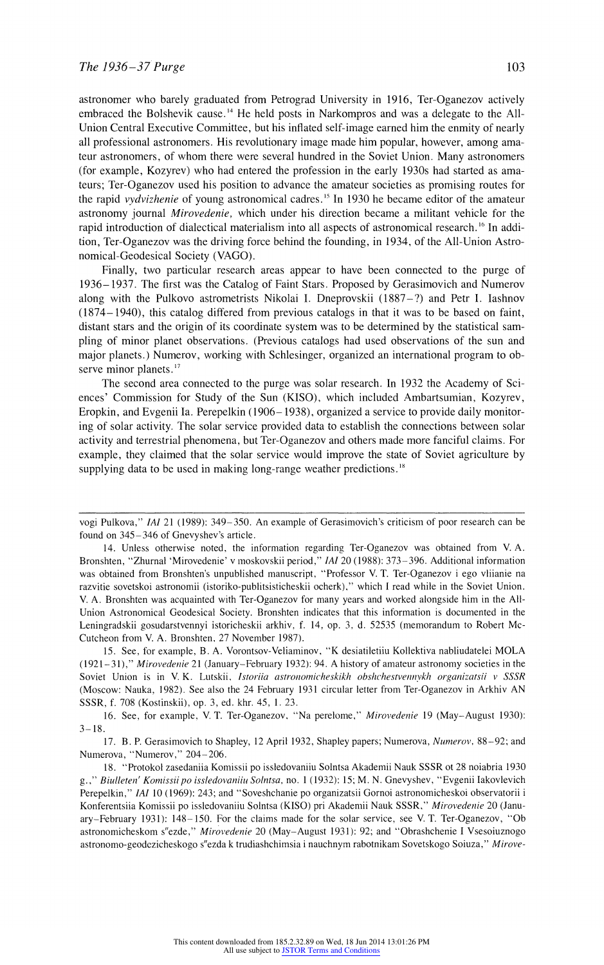astronomer who barely graduated from Petrograd University in 1916, Ter-Oganezov actively embraced the Bolshevik cause.<sup>14</sup> He held posts in Narkompros and was a delegate to the All-Union Central Executive Committee, but his inflated self-image earned him the enmity of nearly all professional astronomers. His revolutionary image made him popular, however, among amateur astronomers, of whom there were several hundred in the Soviet Union. Many astronomers (for example, Kozyrev) who had entered the profession in the early 1930s had started as amateurs; Ter-Oganezov used his position to advance the amateur societies as promising routes for the rapid vydvizhenie of young astronomical cadres.<sup>15</sup> In 1930 he became editor of the amateur astronomy journal Mirovedenie, which under his direction became a militant vehicle for the rapid introduction of dialectical materialism into all aspects of astronomical research.'6 In addition, Ter-Oganezov was the driving force behind the founding, in 1934, of the All-Union Astronomical-Geodesical Society (VAGO).

Finally, two particular research areas appear to have been connected to the purge of 1936-1937. The first was the Catalog of Faint Stars. Proposed by Gerasimovich and Numerov along with the Pulkovo astrometrists Nikolai I. Dneprovskii (1887-?) and Petr I. Iashnov (1874- 1940), this catalog differed from previous catalogs in that it was to be based on faint, distant stars and the origin of its coordinate system was to be determined by the statistical sampling of minor planet observations. (Previous catalogs had used observations of the sun and major planets.) Numerov, working with Schlesinger, organized an international program to observe minor planets.<sup>17</sup>

The second area connected to the purge was solar research. In 1932 the Academy of Sciences' Commission for Study of the Sun (KISO), which included Ambartsurnian, Kozyrev, Eropkin, and Evgenii Ia. Perepelkin (1906-1938), organized a service to provide daily monitoring of solar activity. The solar service provided data to establish the connections between solar activity and terrestrial phenomena, but Ter-Oganezov and others made more fanciful claims. For example, they claimed that the solar service would improve the state of Soviet agriculture by supplying data to be used in making long-range weather predictions.<sup>18</sup>

vogi Pulkova," IAI 21 (1989): 349-350. An example of Gerasimovich's criticism of poor research can be found on 345-346 of Gnevyshev's article.

<sup>14.</sup> Unless otherwise noted, the information regarding Ter-Oganezov was obtained from V. A. Bronshten, "Zhurnal 'Mirovedenie' v moskovskii period," IAI 20 (1988): 373-396. Additional information was obtained from Bronshten's unpublished manuscript, "Professor V. T. Ter-Oganezov i ego vliianie na razvitie sovetskoi astronomii (storiko-publitsisticheskii ocherk)," which I read while in the Soviet Union. V. A. Bronshten was acquainted with Ter-Oganezov for many years and worked alongside him in the All-Union Astronomical Geodesical Society. Bronshten indicates that this information is documented in the Leningradskii gosudarstvennyi istoricheskii arkhiv, f. 14. op. 3, d. 52535 (memorandum to Robert Mc-Cutcheon from V. A. Bronshten, 27 November 1987).

<sup>15.</sup> See, for example, B. A. Vorontsov-Veliaminov, "K desiatiletiiu Kollektiva nabliudatelei MOLA (1921-31)," Mirovedenie 21 (January-February 1932): 94. A history of amateur astronomy societies in the Soviet Union is in V. K. Lutskii, Istoriia astronomicheskikh obshchestvennykh organizatsii v SSSR (Moscow: Nauka, 1982). See also the 24 February 1931 circular letter from Ter-Oganezov in Arkhiv AN SSSR, f. 708 (Kostinskii), op. 3, ed. khr. 45, 1. 23.

<sup>16.</sup> See, for example, V. T. Ter-Oganezov, "Na perelome," Mirovedenie 19 (May-August 1930):  $3 - 18$ .

<sup>17.</sup> B. P. Gerasimovich to Shapley, 12 April 1932, Shapley papers; Numerova, Numerov, 88-92; and Numerova, "Numerov," 204-206.

<sup>18. &</sup>quot;Protokol zasedaniia Komissii po issledovaniiu Solntsa Akademii Nauk SSSR ot 28 noiabria 1930 g.," Biulleten' Komissii po issledovaniiu Solntsa, no. 1 (1932): 15; M. N. Gnevyshev, "Evgenii Iakovlevich Perepelkin," IAI 10 (1969): 243; and "Soveshchanie po organizatsii Gornoi astronomicheskoi observatorii i Konferentsiia Komissii po issledovaniiu Solntsa (KISO) pri Akadenii Nauk SSSR," Mirovedenie 20 (January-February 1931): 148- 150. For the claims made for the solar service, see V. T. Ter-Oganezov, "Ob astronomicheskom s"ezde," Mirovedenie 20 (May-August 1931): 92; and "Obrashchenie I Vsesoiuznogo astronomo-geodezicheskogo s"ezda k trudiashchimsia i nauchnym rabotnikam Sovetskogo Soiuza," Mirove-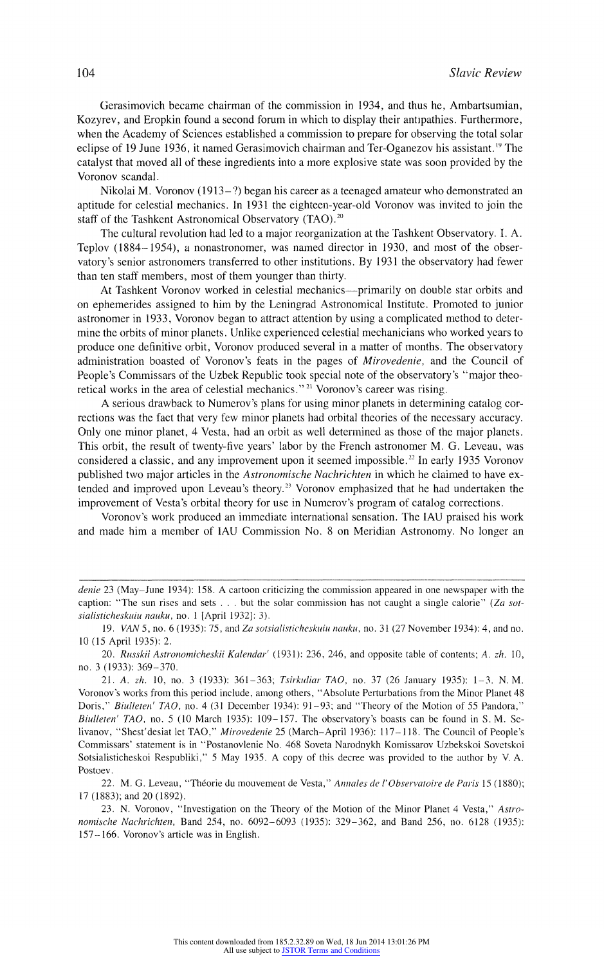(Gerasimovich became chairman of the commission in 1934, and thus he, Ambartsumian, Kozyrev, and Eropkin found a second forum in which to display their antipathies. Furthermore, when the Academy of Sciences established a commission to prepare for observing the total solar eclipse of 19 June 1936, it named Gerasimovich chairman and Ter-Oganezov his assistant.<sup>19</sup> The catalyst hat moved all of these ingredients into a more explosive state was soon provided by the Voronov scandal.

Nikolai M. Voronov (1913-?) began his career as a teenaged amateur who demonstrated an aptitude for celestial mechanics. In 1931 the eighteen-year-old Voronov was invited to join the staff of the Tashkent Astronomical Observatory (TAO).<sup>20</sup>

The cultural revolution had led to a major reorganization at the Tashkent Observatory. I. A. Teplov (1884-- 1954), a nonastronomer, was named director in 1930, and most of the observatory's enior astronomers transferred to otlher institutions. By 1931 the observatory had fewer than ten staff members, most of them younger than thirty.

At Tashkent Voronov worked in celestial mechanics—primarily on double star orbits and on ephemerides assigned to him by the Leningrad Astronomical Institute. Promoted to junior astronomer in 1933, Voronov began to attract attention by using a complicated method to determine the orbits of minor planets. Unlike experienced celestial mechanicians who worked years to produce one definitive orbit, Voronov produced several in a matter of months. The observatory administration boasted of Voronov's feats in the pages of Mirovedenie, and the Council of People's Commissars of the Uzbek Republic took special note of the observatory's "major theoretical works in the area of celestial mechanics." 21 Voronov's career was rising.

A serious drawback to Numerov's plans for using minor planets in determining catalog corrections was the fact that very few minor planets had orbital theories of the necessary accuracy. Only one minor planet, 4 Vesta, had an orbit as well determined as those of the major planets. This orbit, the result of twenty-five years' labor by the French astronomer M. G. Leveau, was considered a classic, and any improvement upon it seemed impossible.<sup>22</sup> In early 1935 Voronov published two major articles in the Astronomische Nachrichten in which he claimed to have extended and improved upon Leveau's theory.<sup>23</sup> Voronov emphasized that he had undertaken the improvement of Vesta's orbital theory for use in Numerov's program of catalog corrections.

Voronov's work produced an immediate international sensation. The IAU praised his work and made him a member of IAU Commission No. 8 on Meridian Astronomy. No longer an

20. Russkii Astronomicheskii Kalendar' (1931): 236, 246, and opposite table of contents; A. zh. 10, no. 3 (1933): 369-370.

22. M. G. Leveau, "Théorie du mouvement de Vesta," Annales de l'Observatoire de Paris 15 (1880); 17 (1883); and 20 (1892).

23. N. Voronov, "Investigation on the Theory of the Motion of the Minor Planet 4 Vesta," Astronomische Nachrichien, Band 254, no. 6092-6093 (1935): 329-362, and Band 256, no. 6128 (1935): 157- 166. Voronov's article was in English.

denie 23 (May-June 1934): 158. A cartoon criticizing the commission appeared in one newspaper with the caption: "The sun rises and sets  $\dots$  but the solar commission has not caught a single calorie" (Za sotsialisticheskuiu nauku, no. 1 [April 1932]: 3).

<sup>19.</sup> VAN 5, no. 6 (1935): 75, and Za sotsialisticheskuiu nauku, no. 31 (27 November 1934): 4, and no. 10 (15 April 1935): 2.

<sup>21.</sup> A. zh. 10, no. 3 (1933): 361-363; Tsirkuliar TAO, no. 37 (26 January 1935): 1-3. N. M. Voronov's works from this period include, among others, "Absolute Pertuibationis from the Minor Planet 48 Doris," Biulleten' TAO, no. 4 (31 December 1934): 91-93; and "Theory of the Motion of 55 Pandora," Biulleten' TAO, no. 5 (10 March 1935): 109-157. The observatory's boasts can be found in S. M. Selivanov, "Shest'desiat let TAO," Mirovedenie 25 (March-April 1936): 117-118. The Council of People's Commissars' statement isin "Postanovlenie No. 468 Soveta Narodnykh Komissarov Uzbekskoi Sovetskoi Sotsialisticheskoi Respubliki," 5 May 1935. A copy of this decree was provided to the author by V.A. Postoev.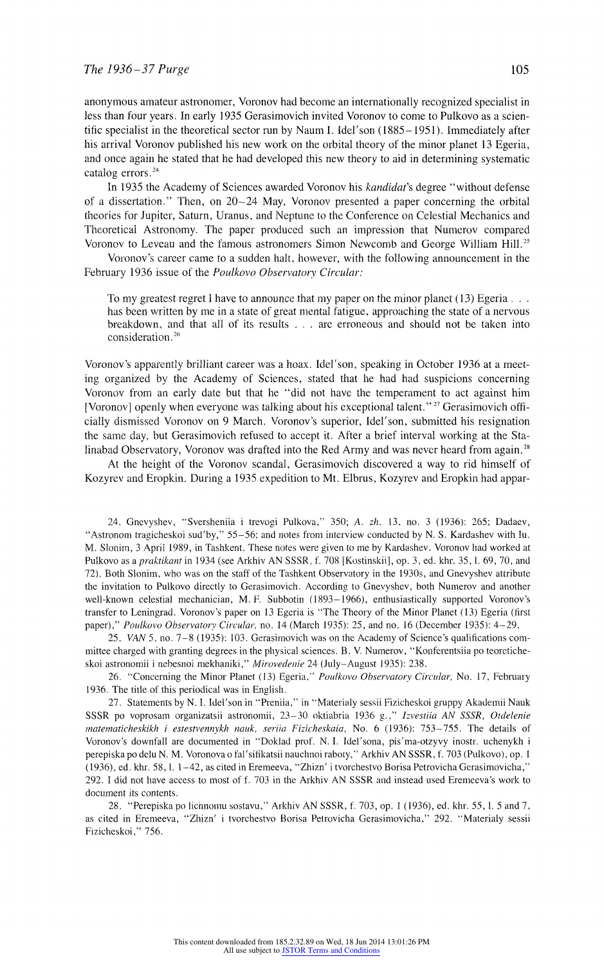anonymous amateur astronomer, Voronov had become an internationally recognized specialist in less than four years. In early 1935 Gerasimovich invited Voronov to come to Pulkovo as a scientific specialist in the theoretical sector run by Naum 1. Idel'son (1885- 1951). Immediately after his arrival Voronov published his new work on the orbital theory of the minor planet 13 Egeria, and once again he stated that he had developed this new theory to aid in determining systematic catalog errors.<sup>24</sup>

In 1935 the Academy of Sciences awarded Voronov his kandidat's degree "without defense of a dissertation." Then, on 20-24 May, Voronov presented a paper concerning the orbital theories for Jupiter, Saturn, Uranus, and Neptune to the Conference on Celestial Mechanics and Theoretical Astronomy. The paper produced such an impression that Numerov compared Voronov to Leveau and the famous astronomers Simon Newcomb and George William Hill.<sup>25</sup>

Voronov's career came to a sudden halt, however, with the following announcement in the February 1936 issue of the Poulkovo Observatory Circular:

To my greatest regret I have to announce that my paper on the minor planet (13) Egeria... has been written by me in a state of great mental fatigue, approaching the state of a nervous breakdown, and that all of its results . . . are erroneous and should not be taken into consideration.<sup>26</sup>

Voronov's apparently brilliant career was a hoax. Idel'son, speaking in October 1936 at a meeting organized by the Academy of Sciences, stated that he had had suspicions concerning Voronov from an early date but that he "did not have the temperament to act against him [Voronov] openly when everyone was talking about his exceptional talent."<sup>27</sup> Gerasimovich officially dismissed Voronov on 9 March. Voronov's superior, Idel'son, submitted his resignation the same day, but Gerasimovich refused to accept it. After a brief interval working at the Stalinabad Observatory, Voronov was drafted into the Red Army and was never heard from again.<sup>28</sup>

At the height of the Voronov scandal, Gerasimovich discovered a way to rid himself of Kozyrev and Eropkin. During a 1935 expedition to Mt. Elbrus, Kozyrev and Eropkin had appar-

24. Gnevyshev, "Sversheniia i trevogi Pulkova," 350; A. zh. 13. no. 3 (1936): 265; Dadaev, "Astronom tragicheskoi sud'by," 55-56; and notes from interview conducted by N. S. Kardashev with Iu. M. Slonim, 3 April 1989, in Tashkent. These notes were given to me by Kardashev. Voronov had worked at Pulkovo as a praktikant in 1934 (see Arkhiv AN SSSR, f. 708 [Kostinskii], op. 3, ed. khr. 35, 1. 69, 70, and 72). Both Slonim, who was on the staff of the Tashkent Observatory in the 1930s, and Gnevyshev attribute the invitation to Pulkovo directly to Gerasimovich. According to Gnevyshev, both Numerov and another well-known celestial mechanician, M. F. Subbotin (1893-1966), enthusiastically supported Voronov's transfer to Leningrad. Voronov's paper on 13 Egeria is "The Theory of the Minor Planet (13) Egeria (first paper)," Poulkovo Observatory Circular, no. 14 (March 1935): 25, and no. 16 (December 1935): 4-29.

25. VAN 5, no. 7-8 (1935): 103. Gerasimovich was on the Academy of Science's qualifications committee charged with granting degrees in the physical sciences. B. V. Numerov, "Konferentsiia po teoreticheskoi astronomii i nebesnoi mekhaniki," Mirovedenie 24 (July-August 1935): 238.

26. "Concerning the Minor Planet (13) Egeria," Poulkovo Observatory Circular, No. 17, February 1936. The title of this periodical was in English.

27. Statements by N. I. Idel'son in "Preniia," in "Materialy sessii Fizicheskoi gruppy Akademii Nauk SSSR po voprosam organizatsii astronomii, 23-30 oktiabria 1936 g.," Izvestiia AN SSSR, Otdelenie matematicheskikh i estestvennykh nauk, seriia Fizicheskaia, No. 6 (1936): 753-755. The details of Voronov's downfall are documented in "Doklad prof. N. I. Idel'sona, pis'ma-otzyvy inostr. uchenykh i perepiska po delu N. M. Voronova o fal'sifikatsii nauchnoi raboty," Arkhiv AN SSSR, f. 703 (Pulkovo), op. 1 (1936), ed. khr. 58, 1. 1-42, as cited in Eremeeva, "Zhizn' i tvorchestvo Borisa Petrovicha Gerasimoviclha," 292. 1 did not have access to most of f. 703 in the Arkhiv AN SSSR and instead used Eremeeva's work to document its contents.

28. "Perepiska po lic'hnomiiu sostavu," Arkhiv AN SSSR, f. 703, op. 1 (1936), ed. khr. 55, 1. 5 and 7, as cited in Eremeeva, "Zhizn' i tvorchestvo Borisa Petrovicha Gerasimovicha," 292. "Materialy sessii Fizicheskoi," 756.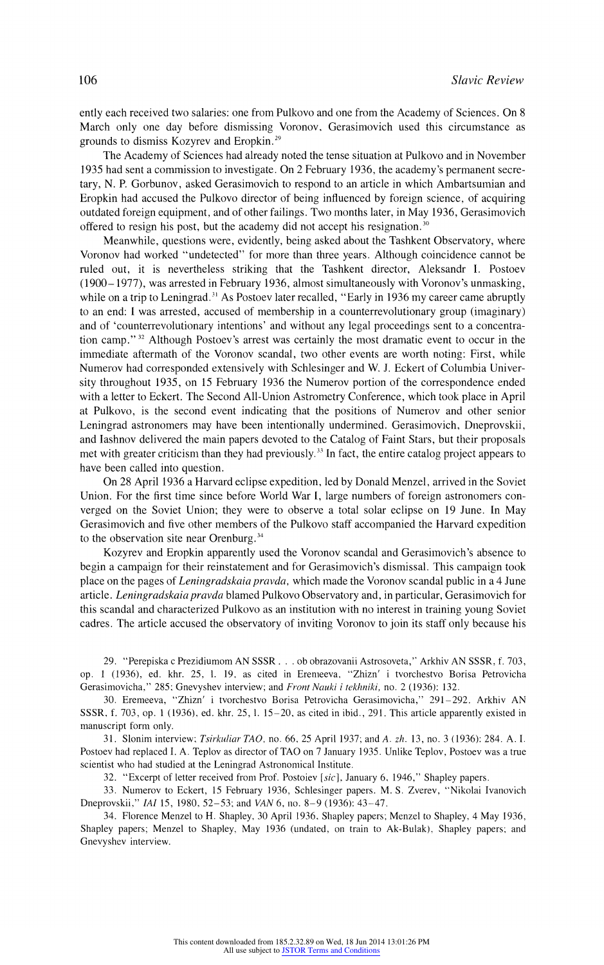ently each received two salaries: one from Pulkovo and one from the Academy of Sciences. On 8 March only one day before dismissing Voronov, Gerasimovich used this circumstance as grounds to dismiss Kozyrev and Eropkin.29

The Academy of Sciences had already noted the tense situation at Pulkovo and in November 1935 had sent a commission to investigate. On 2 February 1936. the academy's permanent secretary, N. P. Gorbunov, asked Gerasimovich to respond to an article in which Ambartsumian and Eropkin had accused the Pulkovo director of being influenced by foreign science, of acquiring outdated foreign equipment, and of other failings. Two months later, in May 1936, Gerasimovich offered to resign his post, but the academy did not accept his resignation. $30$ 

Meanwhile, questions were, evidently, being asked about the Tashkent Observatory, where Voronov had worked "undetected" for more than three years. Although coincidence cannot be ruled out, it is nevertheless striking that the Tashkent director, Aleksandr I. Postoev (1900-1977), was arrested in February 1936, almost simultaneously with Voronov's unmasking, while on a trip to Leningrad.<sup>31</sup> As Postoev later recalled, "Early in 1936 my career came abruptly to an end: I was arrested, accused of membership in a counterrevolutionary group (imaginary) and of 'counterrevolutionary intentions' and without any legal proceedings sent to a concentration camp."<sup>32</sup> Although Postoev's arrest was certainly the most dramatic event to occur in the immediate aftermath of the Voronov scandal, two other events are worth noting: First, while Numerov had corresponded extensively with Schlesinger and W. J. Eckert of Columbia University throughout 1935, on 15 February 1936 the Numerov portion of the correspondence ended with a letter to Eckert. The Second All-Union Astrometry Conference, which took place in April at Pulkovo, is the second event indicating that the positions of Numerov and other senior Leningrad astronomers may have been intentionally undermined. Gerasimovich, Dneprovskii, and Iashnov delivered the main papers devoted to the Catalog of Faint Stars, but their proposals met with greater criticism than they had previously.<sup>33</sup> In fact, the entire catalog project appears to have been called into question.

On 28 April 1936 a Harvard eclipse expedition, led by Donald Menzel, arrived in the Soviet Union. For the first ime since before World War I, large numbers of foreign astronomers converged on the Soviet Union; they were to observe a total solar eclipse on 19 June. In May Gerasimovich and five other members of the Pulkovo staff accompanied the Harvard expedition to the observation site near Orenburg.<sup>34</sup>

Kozyrev and Eropkin apparently used the Voronov scandal and Gerasimovich's absence to begin a campaign for their reinstatement and for Gerasimovich's dismissal. This campaign took place on the pages of Leningradskaia pravda, which made the Voronov scandal public in a 4 June article. Leningradskaia pravda blamed Pulkovo Observatory and, in particular, Gerasimovich for this scandal and characterized Pulkovo as an institution with no interest in training young Soviet cadres. The article accused the observatory of inviting Voronov to join its staff only because his

29. "Perepiska c Prezidiumom AN SSSR . . . ob obrazovanii Astrosoveta," Arkhiv AN SSSR, f. 703, op. 1 (1936), ed. khr. 25, 1. 19, as cited in Eremeeva, "Zhizn' i tvorchestvo Borisa Petrovicha Gerasimovicha," 285; Gnevyshev interview; and Front Nauki i tekhniki, no. 2 (1936): 132.

30. Eremeeva, "Zhizn' i tvorchestvo Borisa Petrovicha Gerasimovicha," 291-292. Arkhiv AN SSSR, f. 703, op. 1 (1936), ed. khr. 25, 1. 15-20, as cited in ibid., 291. This article apparently existed in manuscript form only.

31. Slonim interview; *Tsirkuliar TAO*, no. 66, 25 April 1937; and A. zh. 13, no. 3 (1936): 284. A. I. Postoev had replaced I. A. Teplov as director of TAO on 7 January 1935. Unlike Teplov, Postoev was a true scientist who had studied at the Leningrad Astronomical Institute.

32. "Excerpt of letter received from Prof. Postoiev [sic], January 6, 1946," Shapley papers.

33. Numerov to Eckert, 15 February 1936, Schlesinger papers. M. S. Zverev, "Nikolai Ivanovich Dneprovskii," IAI 15, 1980, 52-53; and VAN 6, no. 8-9 (1936): 43-47.

34. Florence Menzel to H. Shapley, 30 April 1936, Shapley papers; Menzel to Shapley, 4 May 1936, Shapley papers; Menzel to Shapley, May 1936 (undated, on train to Ak-Bulak), Shapley papers; and Gnevyshev interview.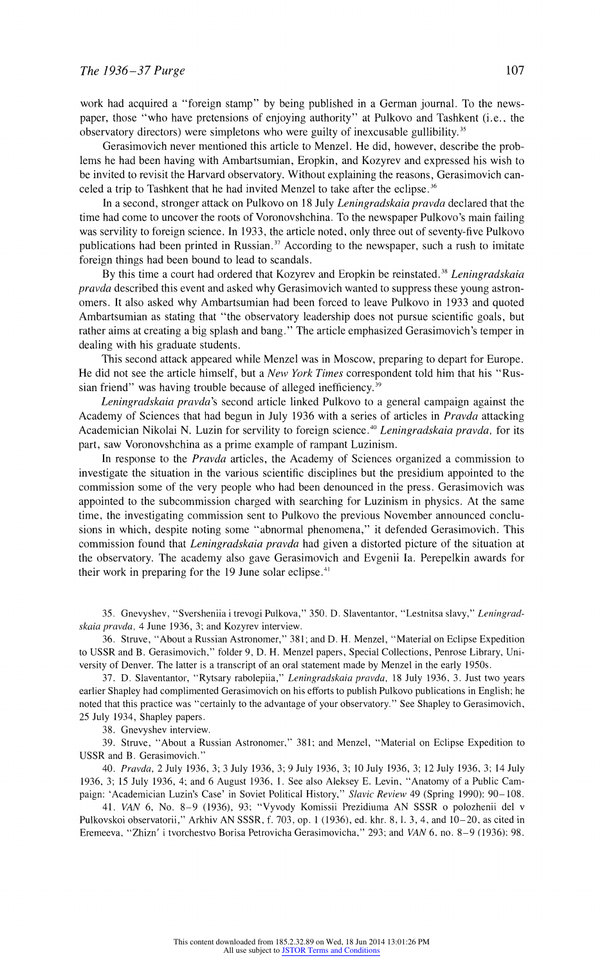work had acquired a "foreign stamp" by being published in a German journal. To the newspaper, those "who have pretensions of enjoying authority" at Pulkovo and Tashkent (i.e.. the observatory directors) were simpletons who were guilty of inexcusable gullibility.<sup>35</sup>

Gerasimovich never mentioned this article to Menzel. He did, however, describe the problems he had been having with Ambartsumian, Eropkin, and Kozyrev and expressed his wish to be invited to revisit he Harvard observatory. Without explaining the reasons, Gerasimovich canceled a trip to Tashkent that he had invited Menzel to take after the eclipse.<sup>36</sup>

In a second, stronger attack on Pulkovo on 18 July Leningradskaia pravda declared that the time had come to uncover the roots of Voronovshchina. To the newspaper Pulkovo's main failing was servility to foreign science. In 1933, the article noted, only three out of seventy-five Pulkovo publications had been printed in Russian.<sup>37</sup> According to the newspaper, such a rush to imitate foreign things had been bound to lead to scandals.

By this time a court had ordered that Kozyrev and Eropkin be reinstated.<sup>38</sup> Leningradskaia pravda described this event and asked why Gerasimovich wanted to suppress these young astronomers. It also asked why Ambartsumian had been forced to leave Pulkovo in 1933 and quoted Ambartsumian as stating that "the observatory leadership does not pursue scientific goals, but rather aims at creating a big splash and bang." The article emphasized Gerasimovich's temper in dealing with his graduate students.

This second attack appeared while Menzel was in Moscow, preparing to depart for Europe. He did not see the article himself, but a New York Times correspondent told him that his "Russian friend" was having trouble because of alleged inefficiency.<sup>39</sup>

Leningradskaia pravda's second article linked Pulkovo to a general campaign against the Academy of Sciences that had begun in July 1936 with a series of articles in Pravda attacking Academician Nikolai N. Luzin for servility to foreign science.<sup>40</sup> Leningradskaia pravda, for its part, saw Voronovshchina as a prime example of rampant Luzinism.

In response to the *Pravda* articles, the Academy of Sciences organized a commission to investigate the situation in the various scientific disciplines but the presidium appointed to the commission some of the very people who had been denounced in the press. Gerasimovich was appointed to the subcommission charged with searching for Luzinism in physics. At the same time, the investigating commission sent to Pulkovo the previous November announced conclusions in which, despite noting some "abnormal phenomena," it defended Gerasimovich. This commission found that Leningradskaia pravda had given a distorted picture of the situation at the observatory. The academy also gave Gerasimovich and Evgenii Ia. Perepelkin awards for their work in preparing for the  $19$  June solar eclipse.<sup>41</sup>

35. Gnevyshev, "Sversheniia i trevogi Pulkova," 350. D. Slaventantor, "Lestnitsa slavy," Leningradskaia pravda, 4 June 1936, 3; and Kozyrev interview.

36. Struve, "About a Russian Astronomer," 381; and D. H. Menzel, "Material on Eclipse Expedition to USSR and B. Gerasimovich," folder 9, D. H. Menzel papers, Special Collections, Penrose Library, University of Denver. The latter is a transcript of an oral statement made by Menzel in the early 1950s.

37. D. Slaventantor, "Rytsary rabolepiia," Leningradskaia pravda, 18 July 1936, 3. Just two years earlier Shapley had complimented Gerasimovich on his efforts to publish Pulkovo publications in English; he noted that this practice was "certainly to the advantage of your observatory." See Shapley to Gerasimovich, 25 July 1934, Shapley papers.

38. Gnevyshev interview.

39. Struve, "About a Russian Astronomer," 381; and Menzel, "Material on Eclipse Expedition to USSR and B. Gerasimovich."

40. Pravda, 2 July 1936, 3; 3 July 1936, 3; 9 July 1936, 3; 10 July 1936, 3; 12 July 1936, 3; 14 July 1936, 3; 15 July 1936, 4; and 6 August 1936, 1. See also Aleksey E. Levin, "Anatomy of a Public Campaign: 'Academician Luzin's Case' in Soviet Political History," Slavic Review 49 (Spring 1990): 90-108.

41. VAN 6, No. 8-9 (1936), 93; "Vyvody Komissii Prezidiuma AN SSSR o polozhenii del v Pulkovskoi observatorii," Arkhiv AN SSSR, f. 703, op. 1 (1936), ed. khr. 8,1. 3, 4, and 10-20, as cited in Eremeeva, "Zhizn' i tvorchestvo Borisa Petrovicha Gerasimovicha," 293; and VAN 6, no. 8-9 (1936): 98.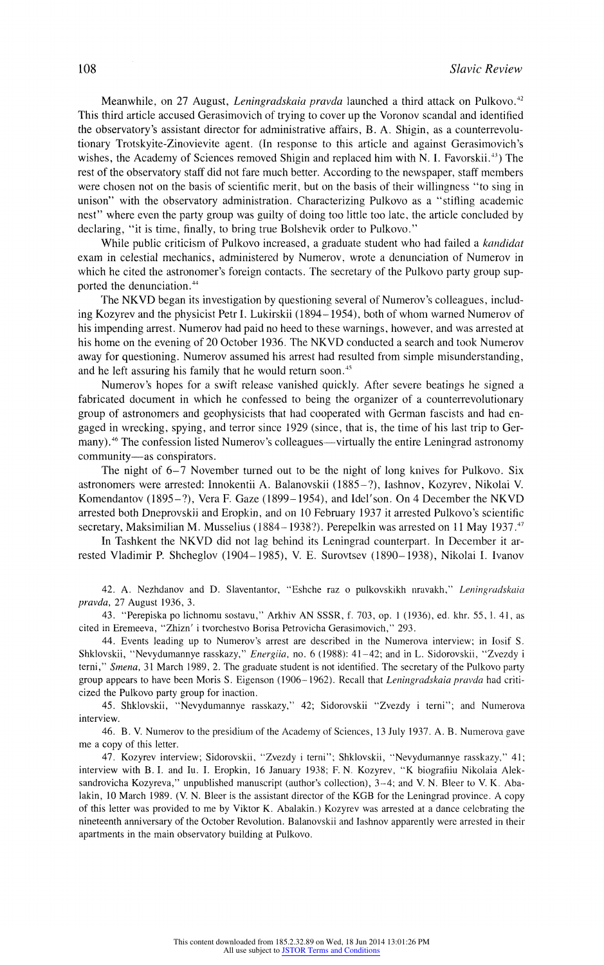Meanwhile, on 27 August, Leningradskaia pravda launched a third attack on Pulkovo.<sup>42</sup> This third article accused Gerasimovich of trying to cover up the Voronov scandal and identified the observatory's asistant director for administrative affairs, B. A. Shigin, as a counterrevolutionary Trotskyite-Zinovievite agent. (In response to this article and against Gerasimovich's wishes, the Academy of Sciences removed Shigin and replaced him with N. I. Favorskii.<sup>43</sup>) The rest of the observatory staff did not fare much better. According to the newspaper, staff members were chosen not on the basis of scientific merit, but on the basis of their willingness "to sing in unison" with the observatory administration. Characterizing Pulkovo as a "stifling academic nest" where even the party group was guilty of doing too little too late, the article concluded by declaring, "it is time, finally, to bring true Bolshevik order to Pulkovo."

While public criticism of Pulkovo increased, a graduate student who had failed a kandidat exam in celestial mechanics, administered by Numerov, wrote a denunciation of Numerov in which he cited the astronomer's foreign contacts. The secretary of the Pulkovo party group supported the denunciation.<sup>44</sup>

The NKVD began its investigation by questioning several of Nurnerov's colleagues, including Kozyrev and the physicist Petr 1. Lukirskii (1894-1954). both of whom warned Numerov of his impending arrest. Numerov had paid no heed to these warnings, however, and was arrested at his home on the evening of 20 October 1936. The NKVD conducted a search and took Numerov away for questioning. Numerov assumed his arrest had resulted from simple misunderstanding, and he left assuring his family that he would return soon.<sup>45</sup>

Numerov's hopes for a swift release vanished quickly. After severe beatings he signed a fabricated ocument in which he confessed to being the organizer of a counterrevolutionary group of astronomers and geophysicists that had cooperated with German fascists and had engaged in wrecking. spying, and terror since 1929 (since, that is, the time of his last trip to Germany).<sup>46</sup> The confession listed Numerov's colleagues—virtually the entire Leningrad astronomy community-as conspirators.

The night of 6-7 November turned out to be the night of long knives for Pulkovo. Six astronomers were arrested: Innokentii A. Balanovskii (1885-?), lashnov, Kozyrev, Nikolai V. Komendantov (1895-?), Vera F. Gaze (1899-1954), and Idel'son. On 4 December the NKVD arrested both Dneprovskii and Eropkin, and on 10 February 1937 it arrested Pulkovo's scientific secretary, Maksimilian M. Musselius (1884–1938?). Perepelkin was arrested on 11 May 1937.<sup>47</sup>

In Tashkent he NKVD did not lag behind its Leningrad counterpart. In December it arrested Vladimir P. Shcheglov (1904-1985), V. E. Surovtsev (1890- 1938), Nikolai I. Ivanov

42. A. Nezhdanov and D. Slaventantor, "Eshche raz o pulkovskikh nravakh," Leningradskaia pravda, 27 August 1936, 3.

43. "Perepiska po lichnomu sostavu," Arkhiv AN SSSR, f. 703, op. 1 (1936), ed. khr. 55, l. 41, as cited in Eremeeva, "Zhizn' i tvorchestvo Borisa Petrovicha Gerasimovich," 293.

44. Events leading up to Numerov's arrest are described in the Numerova interview; in losif S. Shklovskii, "Nevydumannye rasskazy," Energiia, no. 6 (1988): 41-42; and in L. Sidorovskii, "Zvezdy i terni," Smena, 31 March 1989, 2. The graduate student is not identified. The secretary of the Pulkovo party group appears to have been Moris S. Eigenson (1906-1962). Recall that Leningradskaia pravda had criticized the Pulkovo party group for inaction.

45. Shklovskii, "Nevydumannye rasskazy," 42; Sidorovskii "Zvezdy i terni"; and Numerova interview.

46. B. V. Numerov to the presidium of the Academy of Sciences, 13 July 1937. A. B. Numerova gave me a copy of this letter.

47. Kozyrev interview; Sidorovskii, "Zvezdy i terni"; Shklovskii, "Nevydumannye rasskazv," 41; interview with B. 1. and Iu. 1. Eropkin, 16 January 1938; F. N. Kozyrev, "K biografiiu Nikolaia Aleksandrovicha Kozyreva," unpublished manuscript (author's collection), 3-4; and V. N. Bleer to V. K. Abalakin, 10 March 1989. (V. N. Bleer is the assistant director of the KGB for the Leningrad province. A copy of this letter was provided to me by Viktor K. Abalakin.) Kozyrev was arrested at a dance celebrating the nineteenth anniversary of the October Revolution. Balanovskii and Iashnov apparently were arrested in their apartments in the main observatory building at Pulkovo.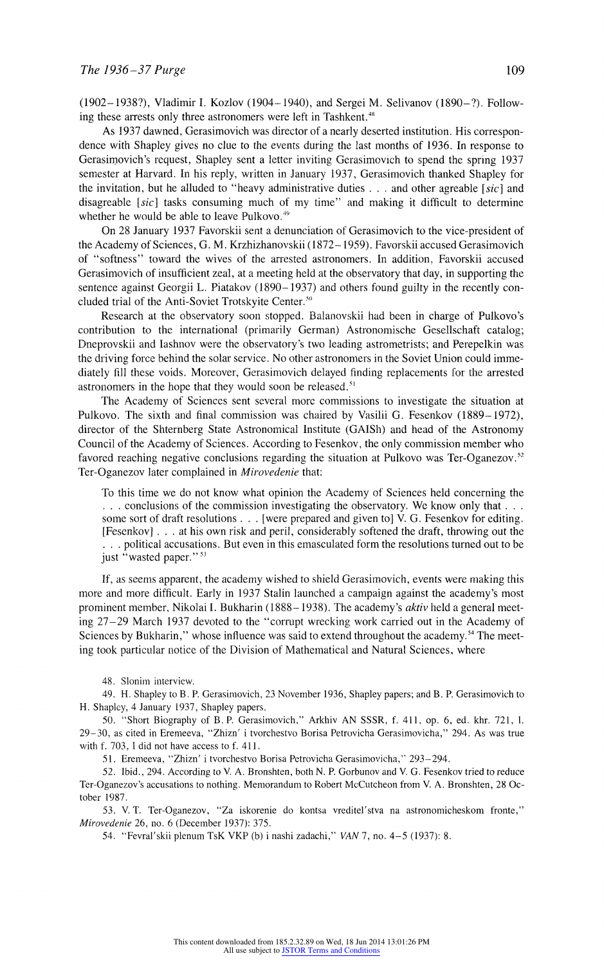(1902-1938?), Vladimir I. Kozlov (1904-1940), and Sergei M. Selivanov (1890-?). Following these arrests only three astronomers were left in Tashkent.<sup>48</sup>

As 1937 dawned, Gerasimovich was director of a nearly deserted institution. His correspondence with Shapley gives no clue to the events during the last months of 1936. In response to Gerasimovich's request, Shapley sent a letter inviting Gerasimovich to spend the spring 1937 semester at Harvard. In his reply, written in January 1937, Gerasimovich thanked Shapley for the invitation, but he alluded to "heavy administrative duties  $\ldots$  and other agreable [sic] and disagreable  $[sic]$  tasks consuming much of my time" and making it difficult to determine whether he would be able to leave Pulkovo.<sup>49</sup>

On 28 January 1937 Favorskii sent a denunciation of Gerasimovich to the vice-president of the Academy of Sciences, G. M. Krzhizhanovskii (1872-1959). Favorskii accused Gerasimovich of "softness" toward the wives of the arrested astronomers. In addition. Favorskii accused Gerasimovich of insufficient zeal, at a meeting held at the observatory that day, in supporting the sentence against Georgii L. Piatakov (1890-1937) and others found guilty in the recently concluded trial of the Anti-Soviet Trotskyite Center.<sup>50</sup>

Research at the observatory soon stopped. Balanovskii had been in charge of Pulkovo's contribution to the international (primarily German) Astronomische Geseilschaft catalog; Dneprovskii and Iashnov were the observatory's two leading astrometrists; and Perepelkin was the driving force behind the solar service. No other astronomers inthe Soviet Union could immediately fill these voids. Moreover, Gerasimovich delayed finding replacements for the arrested astronomers in the hope that they would soon be released.<sup>51</sup>

The Academy of Sciences sent several rnore commissions to investigate the situation at Pulkovo. The sixth and final commission was chaired by Vasilii G. Fesenkov (1889-1972), director of the Shternberg State Astronomical Institute (GAISh) and head of the Astronomy Council of the Academy of Sciences. According to Fesenkov, the only commission member who favored reaching negative conclusions regarding the situation at Pulkovo was Ter-Oganezov.<sup>52</sup> Ter-Oganezov later complained in *Mirovedenie* that:

To this time we do not know what opinion the Academy of Sciences held concerning the . . . conclusions of the commission investigating the observatory. We know only that . . . some sort of draft resolutions . . . [were prepared and given to] V. G. Fesenkov for editing. [Fesenkov] . . . at his own risk and peril, considerably softened the draft, throwing out the . . . political accusations. But even in this emasculated form the resolutions turned out to be just "wasted paper."<sup>53</sup>

If, as seems apparenit, the academy wished to shield Gerasimovich, events were making this more and more difficult. Early in 1937 Stalin launched a canmpaign against the academy's most prominent member, Nikolai I. Bukharin (1888–1938). The academy's *aktiv* held a general meeting 27-29 March 1937 devoted to the "corrupt wrecking work carried out in the Academy of Sciences by Bukharin," whose influence was said to extend throughout the academy.<sup>54</sup> The meeting took particular notice of the Division of Mathematical nd Natural Sciences, where

48. Slonim interview.

49. H. Shapley to B. P. Gerasimovich, 23 November 1936, Shapley papers; and B. P. Gerasimovich to H. Shapley, 4 January 1937, Shapley papers.

50. 'Short Biography of B. P. Gerasimovich," Arkhiv AN SSSR, f. 411. op. 6, ed. khr, 721, 1. 29-30, as cited in Eremeeva, "Zhizn' i tvorchestvo Borisa Petrovicha Gerasimoviclha," 294. As was true with f. 703, 1 did not have access to f. 411.

51. Eremeeva, "Zhizn' i tvorchestvo Borisa Petrovicha Gerasimovicha," 293-294.

52. Ibid., 294. According to V. A. Bronshten, both N. P. Gorbunov and V. G. Fesenkov tried to reduce Ter-Oganezov's accusations to nothing. Memorandum to Robert McCuitcheon from V. A. Bronshten, 28 October 1987.

53. V. T. Ter-Oganezov, "Za iskorenie do kontsa vreditel'stva na astronomicheskom fronte," Mirovedenie 26, no. 6 (December 1937): 375.

54. "Fevral'skii plenum TsK VKP (b) i nashi zadachi," VAN 7, no. 4-5 (1937): 8.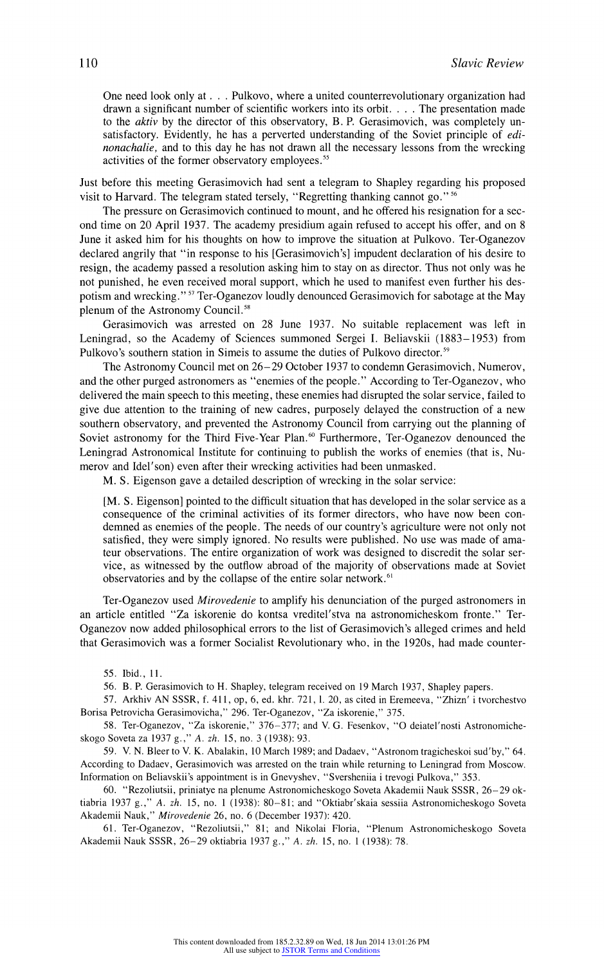One need look only at . . . Pulkovo, where a united counterrevolutionary organization had drawn a significant number of scientific workers into its orbit. . . . The presentation made to the *aktiv* by the director of this observatory, B. P. Gerasimovich, was completely unsatisfactory. Evidently, he has a perverted understanding of the Soviet principle of *edi*nonachalie, and to this day he has not drawn all the necessary lessons from the wrecking activities of the former observatory employees."

Just before this meeting Gerasimovich had sent a telegram to Shapley regarding his proposed visit to Harvard. The telegram stated tersely, "Regretting thanking cannot go." 56

The pressure on Gerasimovich continued to mount, and he offered his resignation for a second time on 20 April 1937. The academy presidium again refused to accept his offer, and on 8 June it asked him for his thoughts on how to improve the situation at Pulkovo. Ter-Oganezov declared angrily that "in response to his [Gerasimovich's] impudent declaration of his desire to resign, the academy passed a resolution asking him to stay on as director. Thus not only was he not punished, he even received moral support, which he used to manifest even further his despotism and wrecking."<sup>57</sup> Ter-Oganezov loudly denounced Gerasimovich for sabotage at the May plenum of the Astronomy Council.<sup>58</sup>

Gerasimovich was arrested on 28 June 1937. No suitable replacement was left in Leningrad, so the Academy of Sciences summoned Sergei I. Beliavskii (1883-1953) from Pulkovo's southern station in Simeis to assume the duties of Pulkovo director.<sup>59</sup>

The Astronomy Council met on 26-29 October 1937 to condemn Gerasimovich, Numerov, and the other purged astronomers as "enemies of the people." According to Ter-Oganezov, who delivered the main speech to this meeting, these enemies had disrupted the solar service, failed to give due attention to the training of new cadres, purposely delayed the construction of a new southern observatory, and prevented the Astronomy Council from carrying out the planning of Soviet astronomy for the Third Five-Year Plan.<sup>60</sup> Furthermore, Ter-Oganezov denounced the Leningrad Astronomical Institute for continuing to publish the works of enemies (that is, Numerov and Idel'son) even after their wrecking activities had been unmasked.

M. S. Eigenson gave a detailed description of wrecking in the solar service:

[M. S. Eigenson] pointed to the difficult situation that has developed in the solar service as a consequence of the criminal activities of its former directors, who have now been condemned as enemies of the people. The needs of our country's agriculture were not only not satisfied, they were simply ignored. No results were published. No use was made of amateur observations. The entire organization of work was designed to discredit the solar service, as witnessed by the outflow abroad of the majority of observations made at Soviet observatories and by the collapse of the entire solar network.<sup>61</sup>

Ter-Oganezov used Mirovedenie to amplify his denunciation of the purged astronomers in an article entitled "Za iskorenie do kontsa vreditel'stva na astronomicheskom fronte." Ter-Oganezov now added philosophical errors to the list of Gerasimovich's alleged crimes and held that Gerasimovich was a former Socialist Revolutionary who, in the 1920s, had made counter-

55. Ibid., 11.

56. B. P. Gerasimovich to H. Shapley, telegram received on 19 March 1937, Shapley papers.

57. Arkhiv AN SSSR, f. 411, op, 6, ed. khr. 721, 1. 20, as cited in Eremeeva, "Zhizn' i tvorchestvo Borisa Petrovicha Gerasimovicha," 296. Ter-Oganezov, "Za iskorenie," 375.

58. Ter-Oganezov, "Za iskorenie," 376-377; and V. G. Fesenkov, "O deiatel'nosti Astronomicheskogo Soveta za 1937 g.," A. zh. 15, no. 3 (1938): 93.

59. V. N. Bleer to V. K. Abalakin, 10 March 1989; and Dadaev, "Astronom tragicheskoi sud'by," 64. According to Dadaev, Gerasiniovich was arrested on the train while returning to Leningrad from Moscow. Information on Beliavskii's appointment is in Gnevyshev, "Sversheniia i trevogi Pulkova," 353.

60. "Rezoliutsii, priniatye na plenume Astronomicheskogo Soveta Akademii Nauk SSSR, 26-29 oktiabria 1937 g.," A. zh. 15, no. 1 (1938): 80-81; and "Oktiabr'skaia sessiia Astronomicheskogo Soveta Akademii Nauk," Mirovedenie 26, no. 6 (December 1937): 420.

61. Ter-Oganezov, "Rezoliutsii," 81; and Nikolai Floria, "Plenum Astronomicheskogo Soveta Akademii Nauk SSSR, 26-29 oktiabria 1937 g.," A. zh. 15, no. 1 (1938): 78.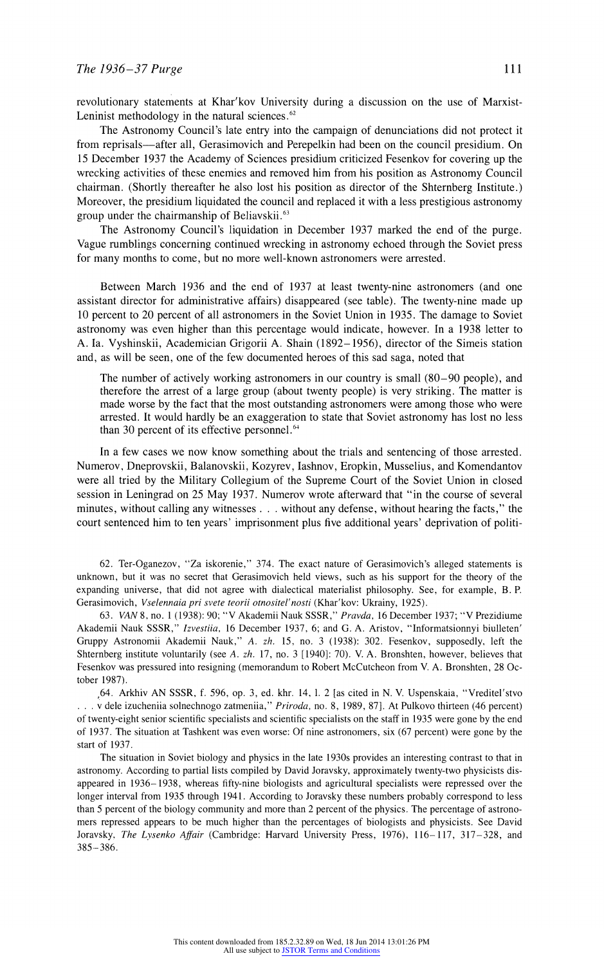revolutionary statements at Khar'kov University during a discussion on the use of Marxist-Leninist methodology in the natural sciences. $62$ 

The Astronomy Council's late entry into the campaign of denunciations did not protect it from reprisals—after all, Gerasimovich and Perepelkin had been on the council presidium. On 15 December 1937 the Academy of Sciences presidium criticized Fesenkov for covering up the wrecking activities of these enemies and removed him from his position as Astronomy Council chairman. (Shortly thereafter he also lost his position as director of the Shternberg Institute.) Moreover, the presidium liquidated the council and replaced it with a less prestigious astronomy group under the chairmanship of Beliavskii.<sup>63</sup>

The Astronomy Council's liquidation in December 1937 marked the end of the purge. Vague rumblings concerning continued wrecking in astronomy echoed through the Soviet press for many months to come, but no more well-known astronomers were arrested.

Between March 1936 and the end of 1937 at least twenty-nine astronomers (and one assistant director for administrative affairs) disappeared (see table). The twenty-nine made up 10 percent o 20 percent of all astronomers in the Soviet Union in 1935. The damage to Soviet astronomy was even higher than this percentage would indicate, however. In a 1938 letter to A. Ia. Vyshinskii, Academician Grigorii A. Shain (1892-1956), director of the Simeis station and, as will be seen, one of the few documented heroes of this sad saga, noted that

The number of actively working astronomers in our country is small (80-90 people), and therefore the arrest of a large group (about twenty people) is very striking. The matter is made worse by the fact that the most outstanding astronomers were among those who were arrested. It would hardly be an exaggeration to state that Soviet astronomy has lost no less than 30 percent of its effective personnel.<sup>64</sup>

In a few cases we now know something about the trials and sentencing of those arrested. Numerov, Dneprovskii, Balanovskii, Kozyrev, Iashnov, Eropkin, Musselius, and Komendantov were all tried by the Military Collegium of the Supreme Court of the Soviet Union in closed session in Leningrad on 25 May 1937. Numerov wrote afterward that "in the course of several minutes, without calling any witnesses . . . without any defense, without hearing the facts," the court sentenced him to ten years' imprisonment plus five additional years' deprivation of politi-

62. Ter-Oganezov, "Za iskorenie," 374. The exact nature of Gerasimovich's alleged statements i unknown, but it was no secret that Gerasimovich held views, such as his support for the theory of the expanding universe, that did not agree with dialectical materialist philosophy. See, for example, B. P. Gerasimovich, Vselennaia pri svete teorii otnositel'nosti (Khar'kov: Ukrainy, 1925).

63. VAN 8, no. 1 (1938): 90; "V Akademii Nauk SSSR," Pravda, 16 December 1937; "V Prezidiume Akademii Nauk SSSR," Izvestiia, 16 December 1937, 6; and G. A. Aristov, "Informatsionnyi biulleten' Gruppy Astronomii Akademii Nauk," A. zh. 15, no. 3 (1938): 302. Fesenkov, supposedly, left the Shternberg institute voluntarily (see A. zh. 17, no. 3 [1940]: 70). V. A. Bronshten, however, believes that Fesenkov was pressured into resigning (memorandum to Robert McCutcheon from V. A. Bronshten, 28 October 1987).

,64. Arkhiv AN SSSR, f. 596, op. 3, ed. khr. 14, 1. 2 [as cited in N. V. Uspenskaia, "Vreditel'stvo v dele izucheniia solnechnogo zatmeniia," Priroda, no. 8, 1989, 87]. At Pulkovo thirteen (46 percent) of twenty-eight senior scientific specialists and scientific specialists on the staff in 1935 were gone by the end of 1937. The situation at Tashkent was even worse: Of nine astronomers, six (67 percent) were gone by the start of 1937.

The situation in Soviet biology and physics in the late 1930s provides an interesting contrast to that in astronomy. According to partial lists compiled by David Joravsky, approximately twenty-two physicists disappeared in 1936- 1938, whereas fifty-nine biologists and agricultural specialists were repressed over the longer interval from 1935 through 1941. According to Joravsky these numbers probably correspond to less than 5 percent of the biology community and more than 2 percent of the physics. The percentage of astronomers repressed appears to be much higher than the percentages of biologists and physicists. See David Joravsky, The Lysenko Affair (Cambridge: Harvard University Press, 1976), 116-117, 317-328, and 385- 386.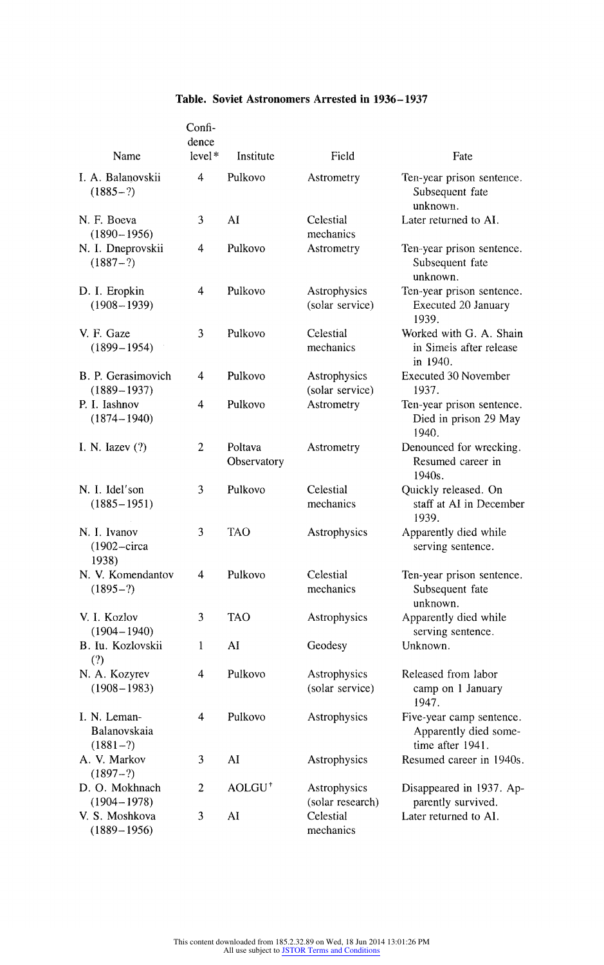| Table. Soviet Astronomers Arrested in 1936–1937 |  |
|-------------------------------------------------|--|
|-------------------------------------------------|--|

| Name                                       | Confi-<br>dence<br>$level*$ | Institute              | Field                            | Fate                                                                  |
|--------------------------------------------|-----------------------------|------------------------|----------------------------------|-----------------------------------------------------------------------|
| I. A. Balanovskii<br>$(1885-?)$            | 4                           | Pulkovo                | Astrometry                       | Ten-year prison sentence.<br>Subsequent fate<br>unknown.              |
| N. F. Boeva<br>$(1890 - 1956)$             | 3                           | AÏ                     | Celestial<br>mechanics           | Later returned to AI.                                                 |
| N. I. Dneprovskii<br>$(1887-?)$            | 4                           | Pulkovo                | Astrometry                       | Ten year prison sentence.<br>Subsequent fate<br>unknown.              |
| D. I. Eropkin<br>$(1908 - 1939)$           | 4                           | Pulkovo                | Astrophysics<br>(solar service)  | Ten-year prison sentence.<br>Executed 20 January<br>1939.             |
| V. F. Gaze<br>$(1899 - 1954)$              | 3                           | Pulkovo                | Celestial<br>mechanics           | Worked with G. A. Shain<br>in Simeis after release<br>in 1940.        |
| B. P. Gerasimovich<br>$(1889 - 1937)$      | 4                           | Pulkovo                | Astrophysics<br>(solar service)  | Executed 30 November<br>1937.                                         |
| P. I. Iashnov<br>$(1874 - 1940)$           | 4                           | Pulkovo                | Astrometry                       | Ten-year prison sentence.<br>Died in prison 29 May<br>1940.           |
| I. N. Iazev $(?)$                          | 2                           | Poltava<br>Observatory | Astrometry                       | Denounced for wrecking.<br>Resumed career in<br>1940s.                |
| N. I. Idel'son<br>$(1885 - 1951)$          | 3                           | Pulkovo                | Celestial<br>mechanics           | Quickly released. On<br>staff at AI in December<br>1939.              |
| N. I. Ivanov<br>$(1902 - circa)$<br>1938)  | 3                           | TAO                    | Astrophysics                     | Apparently died while<br>serving sentence.                            |
| N. V. Komendantov<br>$(1895-?)$            | 4                           | Pulkovo                | Celestial<br>mechanics           | Ten-year prison sentence.<br>Subsequent fate<br>unknown.              |
| V. I. Kozlov<br>$(1904 - 1940)$            | 3                           | TAO                    | Astrophysics                     | Apparently died while<br>serving sentence.                            |
| B. Iu. Kozlovskii<br>(?)                   | 1                           | AI                     | Geodesy                          | Unknown.                                                              |
| N. A. Kozyrev<br>$(1908 - 1983)$           | 4                           | Pulkovo                | Astrophysics<br>(solar service)  | Released from labor<br>camp on 1 January<br>1947.                     |
| I. N. Leman-<br>Balanovskaia<br>$(1881-?)$ | 4                           | Pulkovo                | Astrophysics                     | Five-year camp sentence.<br>Apparently died some-<br>time after 1941. |
| A. V. Markov<br>$(1897-?)$                 | 3                           | AI                     | Astrophysics                     | Resumed career in 1940s.                                              |
| D. O. Mokhnach<br>$(1904 - 1978)$          | $\overline{c}$              | AOLGU <sup>+</sup>     | Astrophysics<br>(solar research) | Disappeared in 1937. Ap-<br>parently survived.                        |
| V. S. Moshkova<br>$(1889 - 1956)$          | 3                           | AI                     | Celestial<br>mechanics           | Later returned to AI.                                                 |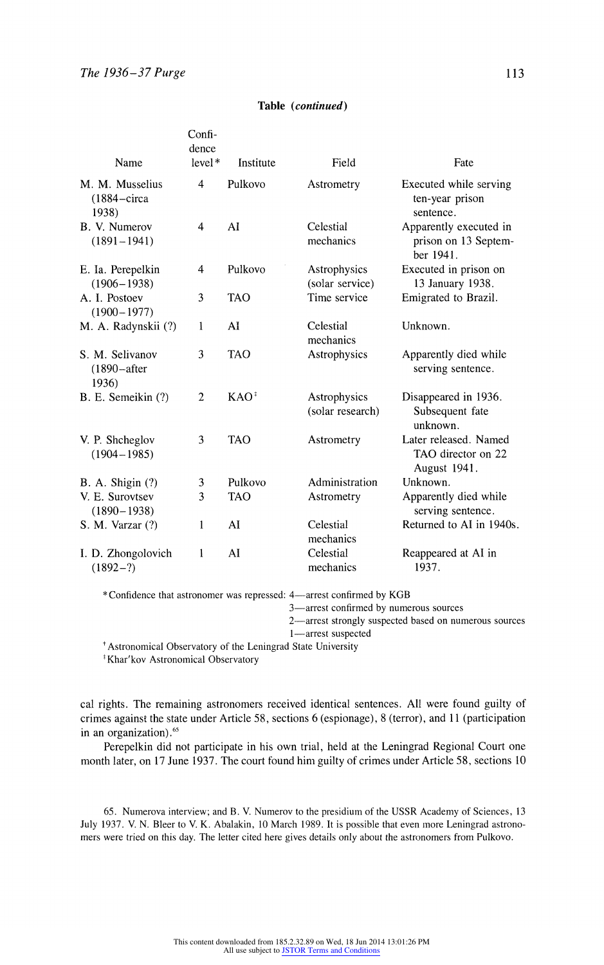| Name                                                | Confi-<br>dence<br>level* | Institute  | Field                            | Fate                                                        |
|-----------------------------------------------------|---------------------------|------------|----------------------------------|-------------------------------------------------------------|
| M. M. Musselius<br>$(1884 - \text{circa})$<br>1938) | $\overline{4}$            | Pulkovo    | Astrometry                       | Executed while serving<br>ten-year prison<br>sentence.      |
| B. V. Numerov<br>$(1891 - 1941)$                    | 4                         | AI         | Celestial<br>mechanics           | Apparently executed in<br>prison on 13 Septem-<br>ber 1941. |
| E. Ia. Perepelkin<br>$(1906 - 1938)$                | 4                         | Pulkovo    | Astrophysics<br>(solar service)  | Executed in prison on<br>13 January 1938.                   |
| A. I. Postoev<br>$(1900 - 1977)$                    | 3                         | <b>TAO</b> | Time service                     | Emigrated to Brazil.                                        |
| M. A. Radynskii (?)                                 | 1                         | AI         | Celestial<br>mechanics           | Unknown.                                                    |
| S. M. Selivanov<br>$(1890 - after$<br>1936)         | 3                         | <b>TAO</b> | Astrophysics                     | Apparently died while<br>serving sentence.                  |
| B. E. Semeikin (?)                                  | $\overline{c}$            | $KAO^*$    | Astrophysics<br>(solar research) | Disappeared in 1936.<br>Subsequent fate<br>unknown.         |
| V. P. Shcheglov<br>$(1904 - 1985)$                  | 3                         | <b>TAO</b> | Astrometry                       | Later released. Named<br>TAO director on 22<br>August 1941. |
| <b>B.</b> A. Shigin (?)                             | 3                         | Pulkovo    | Administration                   | Unknown.                                                    |
| V. E. Surovtsev<br>$(1890 - 1938)$                  | 3                         | <b>TAO</b> | Astrometry                       | Apparently died while<br>serving sentence.                  |
| S. M. Varzar (?)                                    | 1                         | AI         | Celestial<br>mechanics           | Returned to AI in 1940s.                                    |
| I. D. Zhongolovich<br>$(1892-?)$                    | 1                         | AI         | Celestial<br>mechanics           | Reappeared at AI in<br>1937.                                |

## Table (continued)

\* Confidence that astronomer was repressed: 4-arrest confirmed by KGB

3-arrest confirmed by numerous sources

2-arrest strongly suspected based on numerous sources

1-arrest suspected

'Astronomical Observatory of the Leningrad State University

tKhar'kov Astronomical Observatory

cal rights. The remaining astronomers received identical sentences. All were found guilty of crimes against the state under Article 58, sections 6 (espionage), 8 (terror), and 11 (participation in an organization).<sup>65</sup>

Perepelkin did not participate in his own trial, held at the Leningrad Regional Court one month later, on 17 June 1937. The court found him guilty of crimes under Article 58, sections 10

65. Numerova interview; and B. V. Numerov to the presidium of the USSR Academy of Sciences, 13 July 1937. V. N. Bleer to V. K. Abalakin, 10 March 1989. It is possible that even more Leningrad astronomers were tried on this day. The letter cited here gives details only about the astronomers from Pulkovo.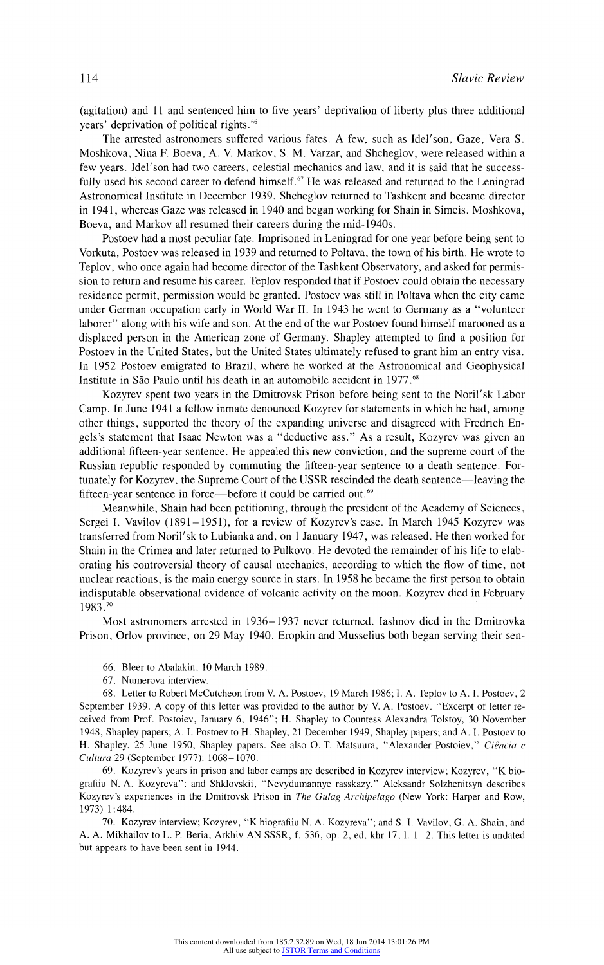(agitation) and 11 and sentenced him to five years' deprivation of liberty plus three additional years' deprivation of political rights.<sup>66</sup>

The arrested astronomers suffered various fates. A few, such as Idel'son, Gaze, Vera S. Moshkova, Nina F. Boeva, A. V. Markov, S. M. Varzar, and Shcheglov, were released within a few years. Idel'son had two careers, celestial mechanics and law, and it is said that he successfully used his second career to defend himself.<sup> $67$ </sup> He was released and returned to the Leningrad Astronomical Institute in December 1939. Shcheglov returned to Tashkent and became director in 1941, whereas Gaze was released in 1940 and began working for Shain in Simeis. Moshkova, Boeva, and Markov all resumed their careers during the mid-1940s.

Postoev had a most peculiar fate. Imprisoned in Leningrad for one year before being sent to Vorkuta, Postoev was released in 1939 and returned to Poltava, the town of his birth. He wrote to Teplov, who once again had become director of the Tashkent Observatory, and asked for permission to return and resume his career. Teplov responded that if Postoev could obtain the necessary residence permit, permission would be granted. Postoev was still in Poltava when the city came under German occupation early in World War II. In 1943 he went to Germany as a "volunteer laborer" along with his wife and son. At the end of the war Postoev found himself marooned as a displaced person in the American zone of Germany. Shapley attempted to find a position for Postoev in the United States, but the United States ultimately refused to grant him an entry visa. In 1952 Postoev emigrated to Brazil, where he worked at the Astronomical and Geophysical Institute in São Paulo until his death in an automobile accident in 1977.<sup>68</sup>

Kozyrev spent two years in the Dmitrovsk Prison before being sent to the Noril'sk Labor Camp. In June 1941 a fellow inmate denounced Kozyrev for statements in which he had, among other things, supported the theory of the expanding universe and disagreed with Fredrich Engels's statement that Isaac Newton was a "deductive ass." As a result, Kozyrev was given an additional fifteen-year sentence. He appealed this new conviction, and the supreme court of the Russian republic responded by commuting the fifteen-year sentence to a death sentence. Fortunately for Kozyrev, the Supreme Court of the USSR rescinded the death sentence-leaving the fifteen-year sentence in force—before it could be carried out.<sup>69</sup>

Meanwhile, Shain had been petitioning, through the president of the Academy of Sciences, Sergei I. Vavilov (1891- 1951), for a review of Kozyrev's case. In March 1945 Kozyrev was transferred from Noril'sk to Lubianka and, on 1 January 1947, was released. He then worked for Shain in the Crimea and later returned to Pulkovo. He devoted the remainder of his life to elaborating his controversial theory of causal mechanics, according to which the flow of time, not nuclear reactions, is the main energy source in stars. In 1958 he became the first person to obtain indisputable observational evidence of volcanic activity on the moon. Kozyrev died in February 1983.70

Most astronomers arrested in 1936-1937 never returned. lashnov died in the Dmitrovka Prison, Orlov province, on 29 May 1940. Eropkin and Musselius both began serving their sen-

- 66. Bleer to Abalakin, 10 March 1989.
- 67. Numerova interview.

68. Letter to Robert McCutcheon from V. A. Postoev, 19 March 1986; 1. A. Teplov to A. I. Postoev, 2 September 1939. A copy of this letter was provided to the author by V. A. Postoev. "Excerpt of letter received from Prof. Postoiev, January 6, 1946"; H. Shapley to Countess Alexandra Tolstoy, 30 November 1948, Shapley papers; A. I. Postoev to H. Shapley, 21 December 1949, Shapley papers; and A. I. Postoev to H. Shapley, 25 June 1950, Shapley papers. See also O. T. Matsuura, "Alexander Postoiev," Ciência e Cultura 29 (September 1977): 1068- 1070.

69. Kozyrev's years in prison and labor camps are described in Kozyrev interview; Kozyrev, "K biografiiu N. A. Kozyreva"; and Shklovskii, "Nevydumnannye rasskazy." Aleksandr Solzhenitsyn describes Kozyrev's experiences in the Dmitrovsk Prison in The Gulag Archipelago (New York: Harper and Row, 1973) 1:484.

70. Kozyrev interview; Kozyrev, "K biografiiu N. A. Kozyreva"; and S. I. Vavilov, G. A. Shain, and A. A. Mikhailov to L. P. Beria, Arkhiv AN SSSR, f. 536, op. 2, ed. khr 17, 1. 1-2. This letter is undated but appears to have been sent in 1944.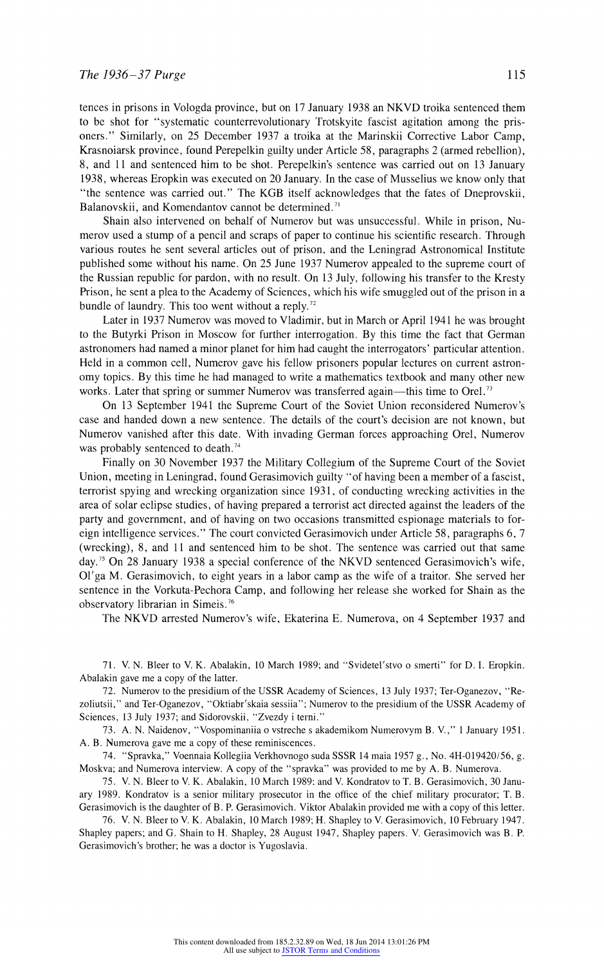tences in prisons in Vologda province, but on 17 January 1938 an NKVD troika sentenced them to be shot for "systematic counterrevolutionary Trotskyite fascist agitation among the prisoners." Similarly, on 25 December 1937 a troika at the Marinskii Corrective Labor Camp, Krasnoiarsk province, found Perepelkin guilty under Article 58, paragraphs 2 (armed rebellion), 8, and 11 and sentenced him to be shot. Perepelkin's sentence was carried out on 13 January 1938, whereas Eropkin was executed on 20 January. In the case of Musselius we know only that "the sentence was carried out." The KGB itself acknowledges that the fates of Dneprovskii, Balanovskii, and Komendantov cannot be determined.<sup>71</sup>

Shain also intervened on behalf of Numerov but was unsuccessful. While in prison, Numerov used a stump of a pencil and scraps of paper to continue his scientific research. Through various routes he sent several articles out of prison, and the Leningrad Astronomical Institute published some without his name. On 25 June 1937 Numerov appealed to the supreme court of the Russian republic for pardon, with no result. On 13 July, following his transfer to the Kresty Prison, he sent a plea to the Academy of Sciences, which his wife smuggled out of the prison in a bundle of laundry. This too went without a reply.<sup>72</sup>

Later in 1937 Numerov was moved to Vladimir, but in March or April 1941 he was brought to the Butyrki Prison in Moscow for further interrogation. By this time the fact that German astronomers had named a minor planet for him had caught the interrogators' particular attention. Held in a common cell, Numerov gave his fellow prisoners popular lectures on current astronomy topics. By this time he had managed to write a mathematics textbook and many other new works. Later that spring or summer Numerov was transferred again—this time to Orel.<sup>73</sup>

On 13 September 1941 the Supreme Court of the Soviet Union reconsidered Numerov's case and handed down a new sentence. The details of the court's decision are not known, but Numerov vanished after this date. With invading German forces approaching Orel, Numerov was probably sentenced to death.<sup>74</sup>

Finally on 30 November 1937 the Military Collegium of the Supreme Court of the Soviet Union, meeting in Leningrad, found Gerasimovich guilty "of having been a member of a fascist, terrorist spying and wrecking organization since 1931, of conducting wrecking activities in the area of solar eclipse studies, of having prepared a terrorist act directed against the leaders of the party and government, and of having on two occasions transmitted espionage materials to foreign intelligence services." The court convicted Gerasimovich under Article 58, paragraphs 6, 7 (wrecking), 8, and 11 and sentenced him to be shot. The sentence was carried out that same day.<sup>75</sup> On 28 January 1938 a special conference of the NKVD sentenced Gerasimovich's wife, Ol'ga M. Gerasimovich, to eight years in a labor camp as the wife of a traitor. She served her sentence in the Vorkuta-Pechora Camp, and following her release she worked for Shain as the observatory librarian in Simeis.76

The NKVD arrested Numerov's wife, Ekaterina E. Numerova, on 4 September 1937 and

71. V. N. Bleer to V. K. Abalakin, 10 March 1989; and 'Svidetel'stvo o smerti" for D. I. Eropkin. Abalakin gave me a copy of the latter.

72. Numerov to the presidium of the USSR Academy of Sciences, 13 July 1937; Ter-Oganezov, "Rezoliutsii," and Ter-Oganezov, "Oktiabr'skaia sessiia"; Numerov to the presidium of the USSR Academy of Sciences, 13 July 1937; and Sidorovskii, "Zvezdy i terni."

73. A. N. Naidenov, "Vospominaniia o vstreche s akademikom Numnerovym B. V.," 1 January 1951. A. B. Numerova gave me a copy of these reminiscences.

74. "Spravka," Voennaia Kollegiia Verkhovnogo suda SSSR 14 maia 1957 g., No. 4H-019420/56, g. Moskva; and Numerova interview. Acopy of the "spravka" was provided to me by A. B. Numerova.

75. V. N. Bleer to V. K. Abalakin, 10 March 1989: and V. Kondratov to T. B. Gerasimovich, 30 January 1989. Kondratov is a senior military prosecutor in the office of the chief military procurator; T. B. Gerasimovich is the daughter of B. P. Gerasimovich. Viktor Abalakin provided me with a copy of this letter.

76. V. N. Bleer to V. K. Abalakin, 10 March 1989; H. Shapley to V. Gerasimovich, 10 February 1947. Shapley papers; and G. Shain to H. Shapley, 28 August 1947, Shapley papers. V. Gerasimovich was B. P. Gerasimovich's brother; he was a doctor is Yugoslavia.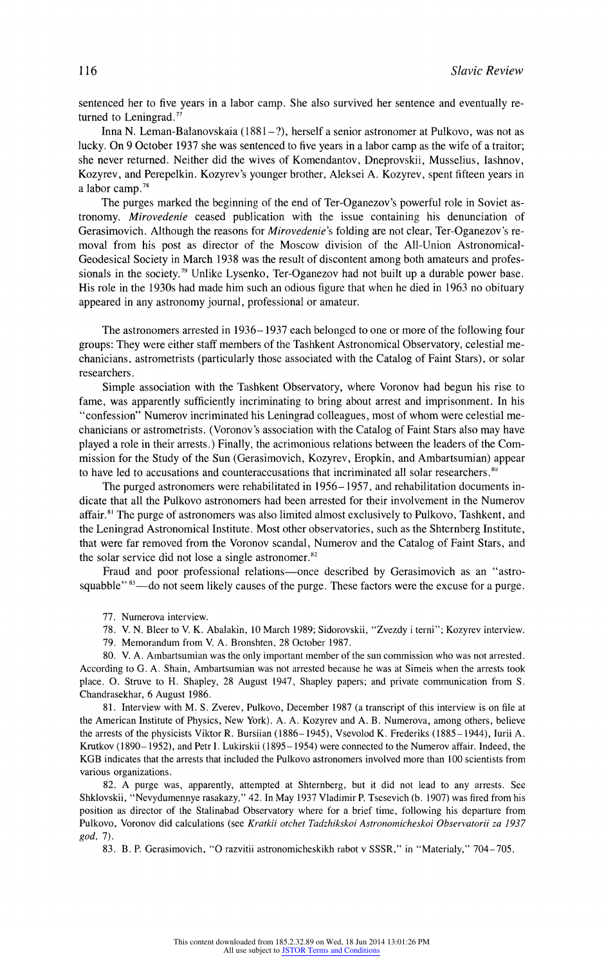sentenced her to five years in a labor camp. She also survived her sentence and eventually returned to Leningrad.<sup>77</sup>

Inna N. Leman-Balanovskaia (1881–?), herself a senior astronomer at Pulkovo, was not as lucky. On 9 October 1937 she was sentenced to five years in a labor camp as the wife of a traitor; she never returned. Neither did the wives of Komendantov, Dneprovskii, Musselius, Iashnov, Kozyrev, and Perepelkin. Kozyrev's younger brother, Aleksei A. Kozyrev, spent fifteen years in a labor camp.<sup>78</sup>

The purges marked the beginning of the end of Ter-Oganezov's powerful role in Soviet astronomy. Mirovedenie ceased publication with the issue containing his denunciation of Gerasimovich. Although the reasons for *Mirovedenie's* folding are not clear, Ter-Oganezov's removal from his post as director of the Moscow division of the All-Union Astronomical-Geodesical Society in March 1938 was the result of discontent among both amateurs and professionals in the society.<sup>79</sup> Unlike Lysenko, Ter-Oganezov had not built up a durable power base. His role in the 1930s had made him such an odious figure that when he died in 1963 no obituary appeared in any astronomy journal, professional or amateur.

The astronomers arrested in 1936-1937 each belonged to one or more of the following four groups: They were either staff members of the Tashkent Astronomical Observatory, celestial mechanicians, astrometrists (particularly those associated with the Catalog of Faint Stars), or solar researchers.

Simple association with the Tashkenit Observatory, where Voronov had begun his rise to fame, was apparently sufficiently incriminating to bring about arrest and imprisonment. In his "confession" Numerov incriminated his Leningrad colleagues, most of whom were celestial mechanicians or astrometrists. (Voronov's association with the Catalog of Faint Stars also may have played a role in their arrests.) Finally, the acrimonious relations between the leaders of the Commission for the Study of the Sun (Gerasimovich, Kozyrev, Eropkin, and Ambartsumian) appear to have led to accusations and counteraccusations that incriminated all solar researchers. $\frac{80}{10}$ 

The purged astronomers were rehabilitated in1956-1957, and rehabilitation documents indicate that all the Pulkovo astronomers had been arrested for their involvement in the Numerov affair.8' The purge of astronomers was also limited almost exclusively to Pulkovo, Tashkent, and the Leningrad Astronomical Institute. Most other observatories, such as the Shternberg Institute, that were far removed from the Voronov scandal, Numerov and the Catalog of Faint Stars, and the solar service did not lose a single astronomer.<sup>82</sup>

Fraud and poor professional relations—once described by Gerasimovich as an "astrosquabble"<sup>83</sup>-do not seem likely causes of the purge. These factors were the excuse for a purge.

77. Numerova interview.

- 78. V. N. Bleer to V. K. Abalakin, 10 March 1989; Sidorovskii, "Zvezdy i terni"; Kozyrev interview.
- 79. Memorandum from V. A. Bronshten, 28 October 1987.

80. V. A. Amnbartsumian wasthe only important member of the sun commission who was not arrested. According to G. A. Shaim, Ambartsumian was not arrested because he was at Simeis when the arrests took place. 0. Struve to H. Shapley, 28 August 1947, Shapley papers; and private communication from S. Chandrasekhar, 6 August 1986.

81. Interview with M. S. Zverev, Pulkovo, December 1987 (a transcript of this interview is on file at the American Institute of Physics, New York). A. A. Kozyrev and A. B. Numerova, among others, believe the arrests of the physicists Viktor R. Bursiian (1886- 1945), Vsevolod K. Frederiks (1885- 1944), lurii A. Krutkov (1890- 1952), and Petr I. Lukirskii (1895 - 1954) were connected to the Numerov affair. Indeed, the KGB indicates that the arrests that included the Pulkovo astronomers involved more than 100 scientists from various organizations.

82. A purge was, apparently, attempted at Shternberg, but it did not lead to any arrests. See Shklovskii, "Nevydumennye rasakazy," 42. In May 1937 Vladimir P. Tsesevich (b. 1907) was fired from his position as director of the Stalinabad Observatory where for a brief time, following his departure from Pulkovo, Voronov did calculations (see Kratkii otchet Tadzhikskoi Astronomicheskoi Observatorii za 1937 god, 7).

83. B. P. Gerasimovich, "'O razvitii astronomicheskikh rabot v SSSR," in "Materialy," 704-705.